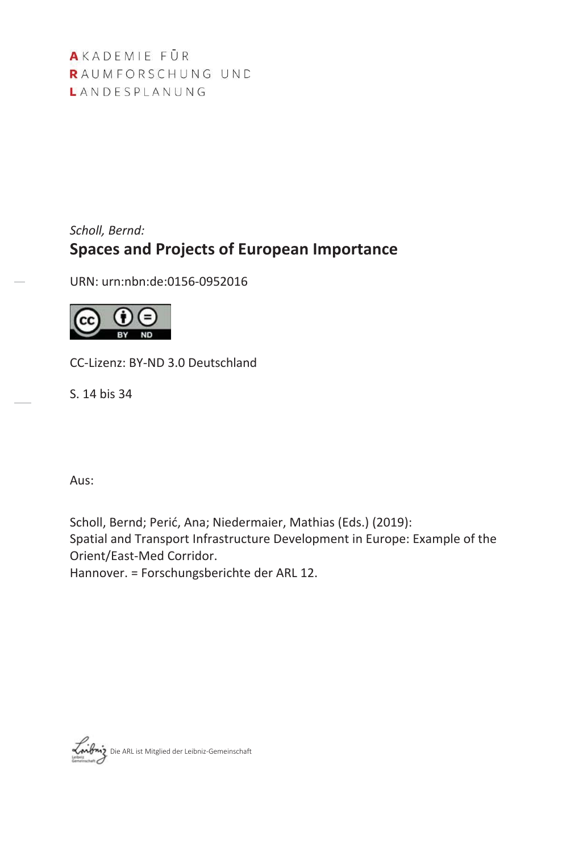AKADEMIE FÜR RAUMFORSCHUNG UND LANDESPLANUNG

# *Scholl, Bernd:* **Spaces and Projects of European Importance**

URN: urn:nbn:de:0156-0952016



CC-Lizenz: BY-ND 3.0 Deutschland

S. 14 bis 34

Aus:

Scholl, Bernd; Perić, Ana; Niedermaier, Mathias (Eds.) (2019): Spatial and Transport Infrastructure Development in Europe: Example of the Orient/East-Med Corridor. Hannover. = Forschungsberichte der ARL 12.

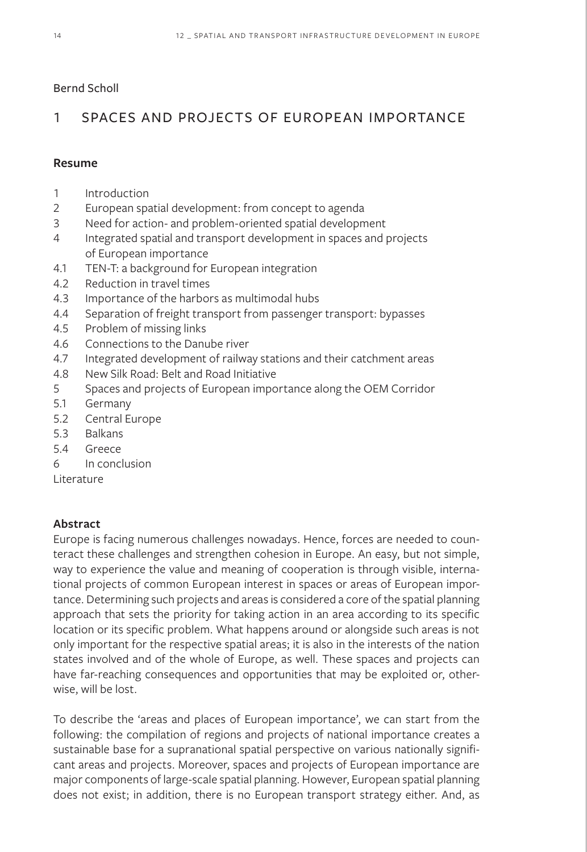### Bernd Scholl

# 1 SPACES AND PROJECTS OF EUROPEAN IMPORTANCE

### **Resume**

- 1 Introduction
- 2 European spatial development: from concept to agenda
- 3 Need for action- and problem-oriented spatial development
- 4 Integrated spatial and transport development in spaces and projects of European importance
- 4.1 TEN-T: a background for European integration
- 4.2 Reduction in travel times
- 4.3 Importance of the harbors as multimodal hubs
- 4.4 Separation of freight transport from passenger transport: bypasses
- 4.5 Problem of missing links
- 4.6 Connections to the Danube river
- 4.7 Integrated development of railway stations and their catchment areas
- 4.8 New Silk Road: Belt and Road Initiative
- 5 Spaces and projects of European importance along the OEM Corridor
- 5.1 Germany
- 5.2 Central Europe
- 5.3 Balkans
- 5.4 Greece
- 6 In conclusion

Literature

## **Abstract**

Europe is facing numerous challenges nowadays. Hence, forces are needed to counteract these challenges and strengthen cohesion in Europe. An easy, but not simple, way to experience the value and meaning of cooperation is through visible, international projects of common European interest in spaces or areas of European importance. Determining such projects and areas is considered a core of the spatial planning approach that sets the priority for taking action in an area according to its specific location or its specific problem. What happens around or alongside such areas is not only important for the respective spatial areas; it is also in the interests of the nation states involved and of the whole of Europe, as well. These spaces and projects can have far-reaching consequences and opportunities that may be exploited or, otherwise, will be lost.

To describe the 'areas and places of European importance', we can start from the following: the compilation of regions and projects of national importance creates a sustainable base for a supranational spatial perspective on various nationally significant areas and projects. Moreover, spaces and projects of European importance are major components of large-scale spatial planning. However, European spatial planning does not exist; in addition, there is no European transport strategy either. And, as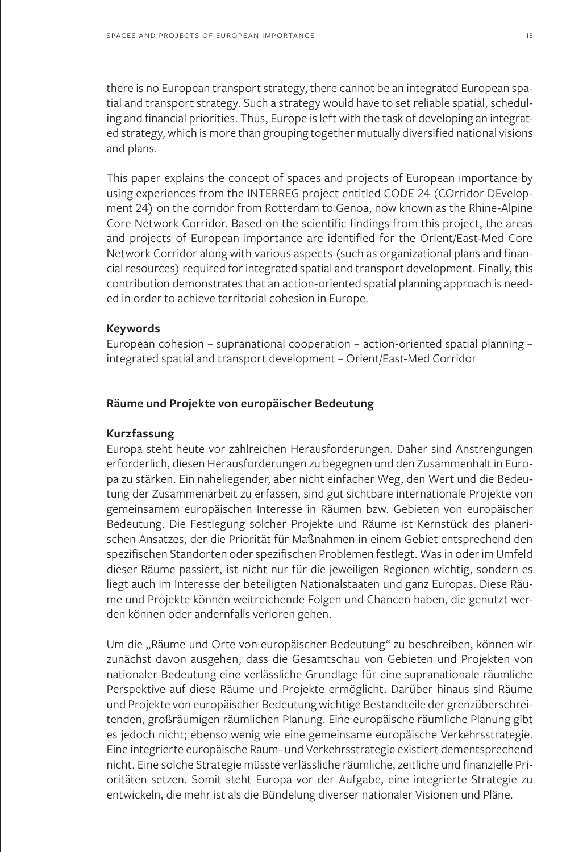there is no European transport strategy, there cannot be an integrated European spatial and transport strategy. Such a strategy would have to set reliable spatial, scheduling and financial priorities. Thus, Europe is left with the task of developing an integrated strategy, which is more than grouping together mutually diversified national visions and plans.

This paper explains the concept of spaces and projects of European importance by using experiences from the INTERREG project entitled CODE 24 (COrridor DEvelopment 24) on the corridor from Rotterdam to Genoa, now known as the Rhine-Alpine Core Network Corridor. Based on the scientific findings from this project, the areas and projects of European importance are identified for the Orient/East-Med Core Network Corridor along with various aspects (such as organizational plans and financial resources) required for integrated spatial and transport development. Finally, this contribution demonstrates that an action-oriented spatial planning approach is needed in order to achieve territorial cohesion in Europe.

#### **Keywords**

European cohesion – supranational cooperation – action-oriented spatial planning – integrated spatial and transport development – Orient/East-Med Corridor

### **Räume und Projekte von europäischer Bedeutung**

#### **Kurzfassung**

Europa steht heute vor zahlreichen Herausforderungen. Daher sind Anstrengungen erforderlich, diesen Herausforderungen zu begegnen und den Zusammenhalt in Europa zu stärken. Ein naheliegender, aber nicht einfacher Weg, den Wert und die Bedeutung der Zusammenarbeit zu erfassen, sind gut sichtbare internationale Projekte von gemeinsamem europäischen Interesse in Räumen bzw. Gebieten von europäischer Bedeutung. Die Festlegung solcher Projekte und Räume ist Kernstück des planerischen Ansatzes, der die Priorität für Maßnahmen in einem Gebiet entsprechend den spezifischen Standorten oder spezifischen Problemen festlegt. Was in oder im Umfeld dieser Räume passiert, ist nicht nur für die jeweiligen Regionen wichtig, sondern es liegt auch im Interesse der beteiligten Nationalstaaten und ganz Europas. Diese Räume und Projekte können weitreichende Folgen und Chancen haben, die genutzt werden können oder andernfalls verloren gehen.

Um die "Räume und Orte von europäischer Bedeutung" zu beschreiben, können wir zunächst davon ausgehen, dass die Gesamtschau von Gebieten und Projekten von nationaler Bedeutung eine verlässliche Grundlage für eine supranationale räumliche Perspektive auf diese Räume und Projekte ermöglicht. Darüber hinaus sind Räume und Projekte von europäischer Bedeutung wichtige Bestandteile der grenzüberschreitenden, großräumigen räumlichen Planung. Eine europäische räumliche Planung gibt es jedoch nicht; ebenso wenig wie eine gemeinsame europäische Verkehrsstrategie. Eine integrierte europäische Raum- und Verkehrsstrategie existiert dementsprechend nicht. Eine solche Strategie müsste verlässliche räumliche, zeitliche und finanzielle Prioritäten setzen. Somit steht Europa vor der Aufgabe, eine integrierte Strategie zu entwickeln, die mehr ist als die Bündelung diverser nationaler Visionen und Pläne.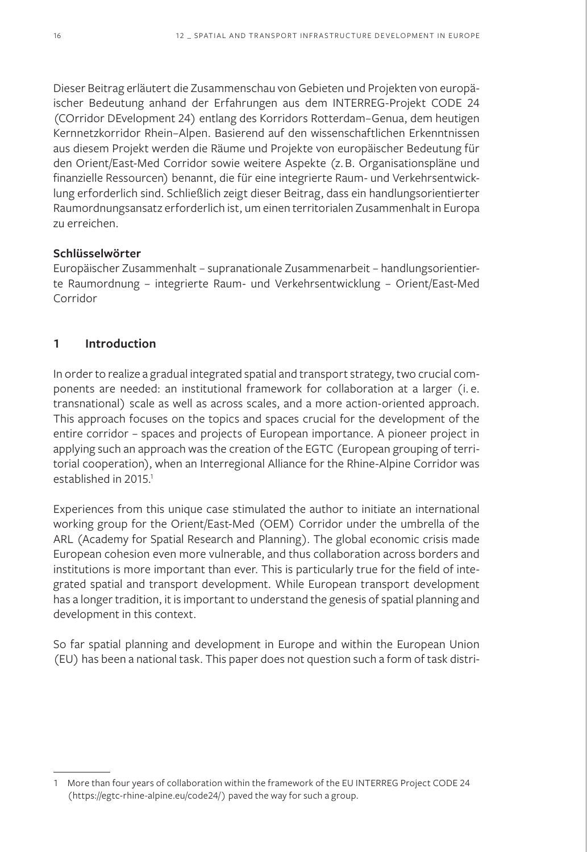Dieser Beitrag erläutert die Zusammenschau von Gebieten und Projekten von europäischer Bedeutung anhand der Erfahrungen aus dem INTERREG-Projekt CODE 24 (COrridor DEvelopment 24) entlang des Korridors Rotterdam–Genua, dem heutigen Kernnetzkorridor Rhein–Alpen. Basierend auf den wissenschaftlichen Erkenntnissen aus diesem Projekt werden die Räume und Projekte von europäischer Bedeutung für den Orient/East-Med Corridor sowie weitere Aspekte (z.B. Organisationspläne und finanzielle Ressourcen) benannt, die für eine integrierte Raum- und Verkehrsentwicklung erforderlich sind. Schließlich zeigt dieser Beitrag, dass ein handlungsorientierter Raumordnungsansatz erforderlich ist, um einen territorialen Zusammenhalt in Europa zu erreichen.

### **Schlüsselwörter**

Europäischer Zusammenhalt – supranationale Zusammenarbeit – handlungsorientierte Raumordnung – integrierte Raum- und Verkehrsentwicklung – Orient/East-Med Corridor

### **1 Introduction**

In order to realize a gradual integrated spatial and transport strategy, two crucial components are needed: an institutional framework for collaboration at a larger (i. e. transnational) scale as well as across scales, and a more action-oriented approach. This approach focuses on the topics and spaces crucial for the development of the entire corridor – spaces and projects of European importance. A pioneer project in applying such an approach was the creation of the EGTC (European grouping of territorial cooperation), when an Interregional Alliance for the Rhine-Alpine Corridor was established in 2015.<sup>1</sup>

Experiences from this unique case stimulated the author to initiate an international working group for the Orient/East-Med (OEM) Corridor under the umbrella of the ARL (Academy for Spatial Research and Planning). The global economic crisis made European cohesion even more vulnerable, and thus collaboration across borders and institutions is more important than ever. This is particularly true for the field of integrated spatial and transport development. While European transport development has a longer tradition, it is important to understand the genesis of spatial planning and development in this context.

So far spatial planning and development in Europe and within the European Union (EU) has been a national task. This paper does not question such a form of task distri-

<sup>1</sup> More than four years of collaboration within the framework of the EU INTERREG Project CODE 24 (https://egtc-rhine-alpine.eu/code24/) paved the way for such a group.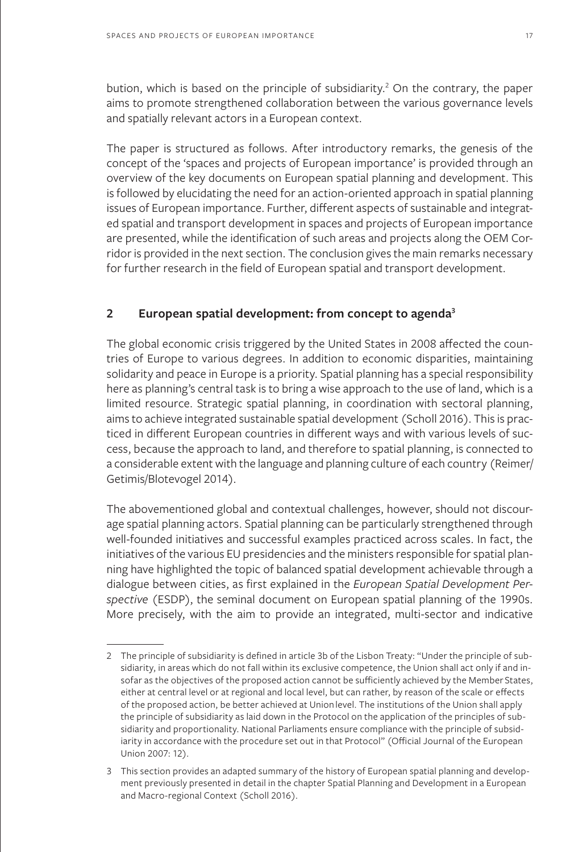bution, which is based on the principle of subsidiarity.<sup>2</sup> On the contrary, the paper aims to promote strengthened collaboration between the various governance levels and spatially relevant actors in a European context.

The paper is structured as follows. After introductory remarks, the genesis of the concept of the 'spaces and projects of European importance' is provided through an overview of the key documents on European spatial planning and development. This is followed by elucidating the need for an action-oriented approach in spatial planning issues of European importance. Further, different aspects of sustainable and integrated spatial and transport development in spaces and projects of European importance are presented, while the identification of such areas and projects along the OEM Corridor is provided in the next section. The conclusion gives the main remarks necessary for further research in the field of European spatial and transport development.

#### **2 European spatial development: from concept to agenda3**

The global economic crisis triggered by the United States in 2008 affected the countries of Europe to various degrees. In addition to economic disparities, maintaining solidarity and peace in Europe is a priority. Spatial planning has a special responsibility here as planning's central task is to bring a wise approach to the use of land, which is a limited resource. Strategic spatial planning, in coordination with sectoral planning, aims to achieve integrated sustainable spatial development (Scholl 2016). This is practiced in different European countries in different ways and with various levels of success, because the approach to land, and therefore to spatial planning, is connected to a considerable extent with the language and planning culture of each country (Reimer/ Getimis/Blotevogel 2014).

The abovementioned global and contextual challenges, however, should not discourage spatial planning actors. Spatial planning can be particularly strengthened through well-founded initiatives and successful examples practiced across scales. In fact, the initiatives of the various EU presidencies and the ministers responsible for spatial planning have highlighted the topic of balanced spatial development achievable through a dialogue between cities, as first explained in the *European Spatial Development Perspective* (ESDP), the seminal document on European spatial planning of the 1990s. More precisely, with the aim to provide an integrated, multi-sector and indicative

<sup>2</sup> The principle of subsidiarity is defined in article 3b of the Lisbon Treaty: "Under the principle of subsidiarity, in areas which do not fall within its exclusive competence, the Union shall act only if and insofar as the objectives of the proposed action cannot be sufficiently achieved by the Member States, either at central level or at regional and local level, but can rather, by reason of the scale or effects of the proposed action, be better achieved at Union level. The institutions of the Union shall apply the principle of subsidiarity as laid down in the Protocol on the application of the principles of subsidiarity and proportionality. National Parliaments ensure compliance with the principle of subsidiarity in accordance with the procedure set out in that Protocol" (Official Journal of the European Union 2007: 12).

<sup>3</sup> This section provides an adapted summary of the history of European spatial planning and development previously presented in detail in the chapter Spatial Planning and Development in a European and Macro-regional Context (Scholl 2016).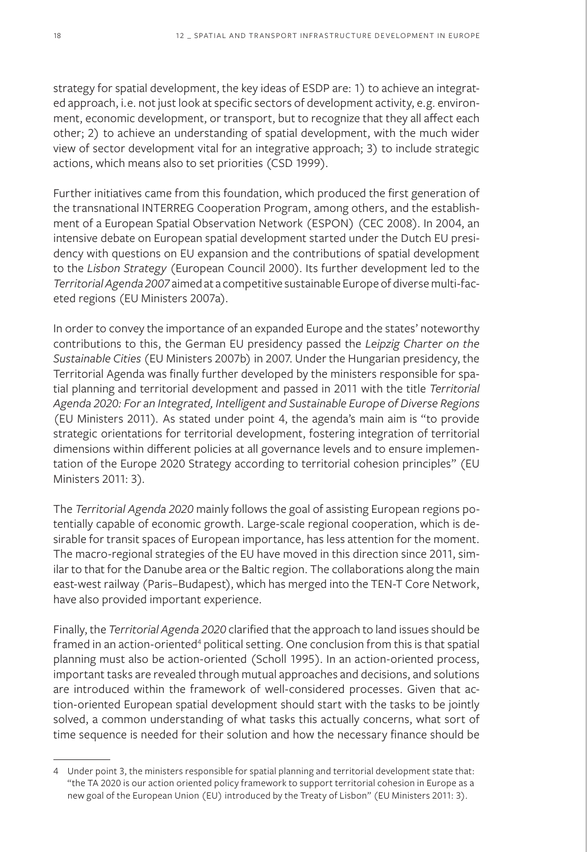strategy for spatial development, the key ideas of ESDP are: 1) to achieve an integrated approach, i.e. not just look at specific sectors of development activity, e.g. environment, economic development, or transport, but to recognize that they all affect each other; 2) to achieve an understanding of spatial development, with the much wider view of sector development vital for an integrative approach; 3) to include strategic actions, which means also to set priorities (CSD 1999).

Further initiatives came from this foundation, which produced the first generation of the transnational INTERREG Cooperation Program, among others, and the establishment of a European Spatial Observation Network (ESPON) (CEC 2008). In 2004, an intensive debate on European spatial development started under the Dutch EU presidency with questions on EU expansion and the contributions of spatial development to the *Lisbon Strategy* (European Council 2000). Its further development led to the *Territorial Agenda 2007* aimed at a competitive sustainable Europe of diverse multi-faceted regions (EU Ministers 2007a).

In order to convey the importance of an expanded Europe and the states' noteworthy contributions to this, the German EU presidency passed the *Leipzig Charter on the Sustainable Cities* (EU Ministers 2007b) in 2007. Under the Hungarian presidency, the Territorial Agenda was finally further developed by the ministers responsible for spatial planning and territorial development and passed in 2011 with the title *Territorial Agenda 2020: For an Integrated, Intelligent and Sustainable Europe of Diverse Regions* (EU Ministers 2011)*.* As stated under point 4, the agenda's main aim is "to provide strategic orientations for territorial development, fostering integration of territorial dimensions within different policies at all governance levels and to ensure implementation of the Europe 2020 Strategy according to territorial cohesion principles" (EU Ministers 2011: 3)*.*

The *Territorial Agenda 2020* mainly follows the goal of assisting European regions potentially capable of economic growth. Large-scale regional cooperation, which is desirable for transit spaces of European importance, has less attention for the moment. The macro-regional strategies of the EU have moved in this direction since 2011, similar to that for the Danube area or the Baltic region. The collaborations along the main east-west railway (Paris–Budapest), which has merged into the TEN-T Core Network, have also provided important experience.

Finally, the *Territorial Agenda 2020* clarified that the approach to land issues should be framed in an action-oriented<sup>4</sup> political setting. One conclusion from this is that spatial planning must also be action-oriented (Scholl 1995). In an action-oriented process, important tasks are revealed through mutual approaches and decisions, and solutions are introduced within the framework of well-considered processes. Given that action-oriented European spatial development should start with the tasks to be jointly solved, a common understanding of what tasks this actually concerns, what sort of time sequence is needed for their solution and how the necessary finance should be

<sup>4</sup> Under point 3, the ministers responsible for spatial planning and territorial development state that: "the TA 2020 is our action oriented policy framework to support territorial cohesion in Europe as a new goal of the European Union (EU) introduced by the Treaty of Lisbon" (EU Ministers 2011: 3).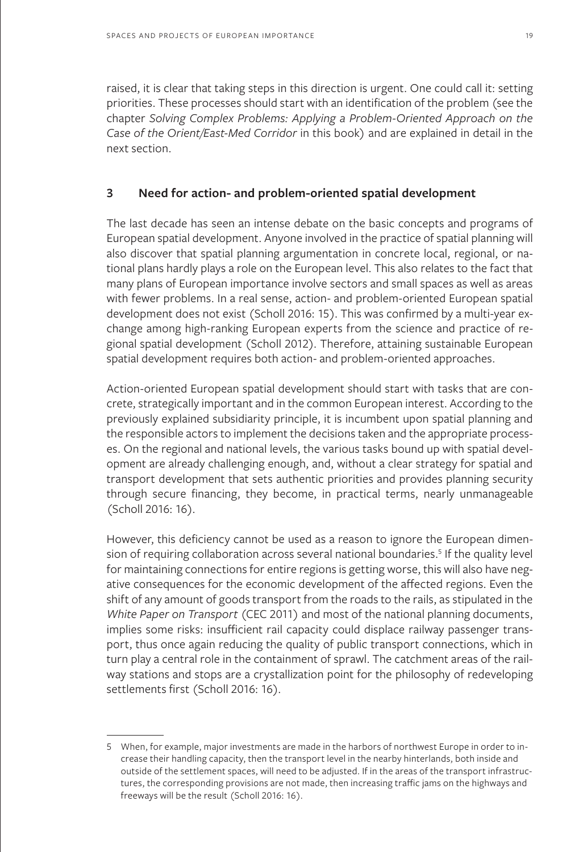raised, it is clear that taking steps in this direction is urgent. One could call it: setting priorities. These processes should start with an identification of the problem (see the chapter *Solving Complex Problems: Applying a Problem-Oriented Approach on the Case of the Orient/East-Med Corridor* in this book) and are explained in detail in the next section.

#### **3 Need for action- and problem-oriented spatial development**

The last decade has seen an intense debate on the basic concepts and programs of European spatial development. Anyone involved in the practice of spatial planning will also discover that spatial planning argumentation in concrete local, regional, or national plans hardly plays a role on the European level. This also relates to the fact that many plans of European importance involve sectors and small spaces as well as areas with fewer problems. In a real sense, action- and problem-oriented European spatial development does not exist (Scholl 2016: 15). This was confirmed by a multi-year exchange among high-ranking European experts from the science and practice of regional spatial development (Scholl 2012). Therefore, attaining sustainable European spatial development requires both action- and problem-oriented approaches.

Action-oriented European spatial development should start with tasks that are concrete, strategically important and in the common European interest. According to the previously explained subsidiarity principle, it is incumbent upon spatial planning and the responsible actors to implement the decisions taken and the appropriate processes. On the regional and national levels, the various tasks bound up with spatial development are already challenging enough, and, without a clear strategy for spatial and transport development that sets authentic priorities and provides planning security through secure financing, they become, in practical terms, nearly unmanageable (Scholl 2016: 16).

However, this deficiency cannot be used as a reason to ignore the European dimension of requiring collaboration across several national boundaries.<sup>5</sup> If the quality level for maintaining connections for entire regions is getting worse, this will also have negative consequences for the economic development of the affected regions. Even the shift of any amount of goods transport from the roads to the rails, as stipulated in the *White Paper on Transport* (CEC 2011) and most of the national planning documents, implies some risks: insufficient rail capacity could displace railway passenger transport, thus once again reducing the quality of public transport connections, which in turn play a central role in the containment of sprawl. The catchment areas of the railway stations and stops are a crystallization point for the philosophy of redeveloping settlements first (Scholl 2016: 16).

<sup>5</sup> When, for example, major investments are made in the harbors of northwest Europe in order to increase their handling capacity, then the transport level in the nearby hinterlands, both inside and outside of the settlement spaces, will need to be adjusted. If in the areas of the transport infrastructures, the corresponding provisions are not made, then increasing traffic jams on the highways and freeways will be the result (Scholl 2016: 16).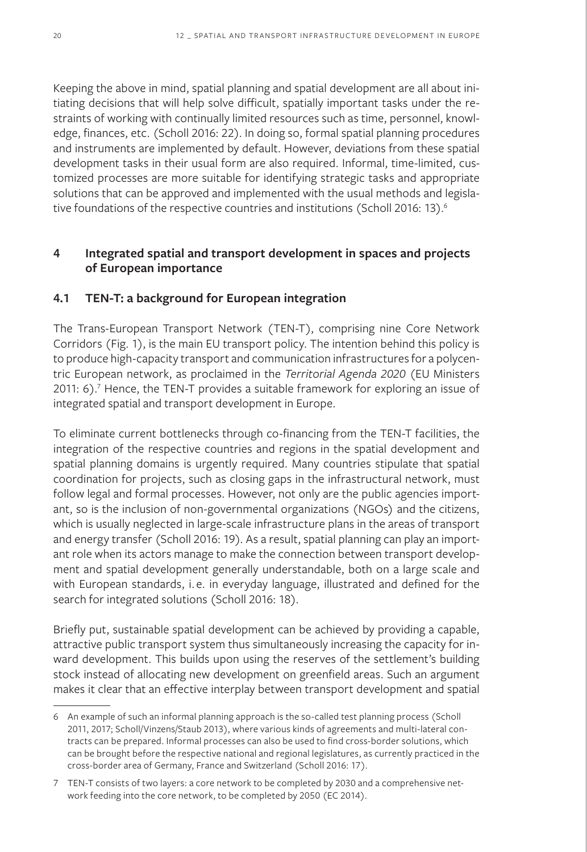Keeping the above in mind, spatial planning and spatial development are all about initiating decisions that will help solve difficult, spatially important tasks under the restraints of working with continually limited resources such as time, personnel, knowledge, finances, etc. (Scholl 2016: 22). In doing so, formal spatial planning procedures and instruments are implemented by default. However, deviations from these spatial development tasks in their usual form are also required. Informal, time-limited, customized processes are more suitable for identifying strategic tasks and appropriate solutions that can be approved and implemented with the usual methods and legislative foundations of the respective countries and institutions (Scholl 2016: 13).<sup>6</sup>

## **4 Integrated spatial and transport development in spaces and projects of European importance**

### **4.1 TEN-T: a background for European integration**

The Trans-European Transport Network (TEN-T), comprising nine Core Network Corridors (Fig. 1), is the main EU transport policy. The intention behind this policy is to produce high-capacity transport and communication infrastructures for a polycentric European network, as proclaimed in the *Territorial Agenda 2020* (EU Ministers 2011: 6).<sup>7</sup> Hence, the TEN-T provides a suitable framework for exploring an issue of integrated spatial and transport development in Europe.

To eliminate current bottlenecks through co-financing from the TEN-T facilities, the integration of the respective countries and regions in the spatial development and spatial planning domains is urgently required. Many countries stipulate that spatial coordination for projects, such as closing gaps in the infrastructural network, must follow legal and formal processes. However, not only are the public agencies important, so is the inclusion of non-governmental organizations (NGOs) and the citizens, which is usually neglected in large-scale infrastructure plans in the areas of transport and energy transfer (Scholl 2016: 19). As a result, spatial planning can play an important role when its actors manage to make the connection between transport development and spatial development generally understandable, both on a large scale and with European standards, i. e. in everyday language, illustrated and defined for the search for integrated solutions (Scholl 2016: 18).

Briefly put, sustainable spatial development can be achieved by providing a capable, attractive public transport system thus simultaneously increasing the capacity for inward development. This builds upon using the reserves of the settlement's building stock instead of allocating new development on greenfield areas. Such an argument makes it clear that an effective interplay between transport development and spatial

<sup>6</sup> An example of such an informal planning approach is the so-called test planning process (Scholl 2011, 2017; Scholl/Vinzens/Staub 2013), where various kinds of agreements and multi-lateral contracts can be prepared. Informal processes can also be used to find cross-border solutions, which can be brought before the respective national and regional legislatures, as currently practiced in the cross-border area of Germany, France and Switzerland (Scholl 2016: 17).

<sup>7</sup> TEN-T consists of two layers: a core network to be completed by 2030 and a comprehensive network feeding into the core network, to be completed by 2050 (EC 2014).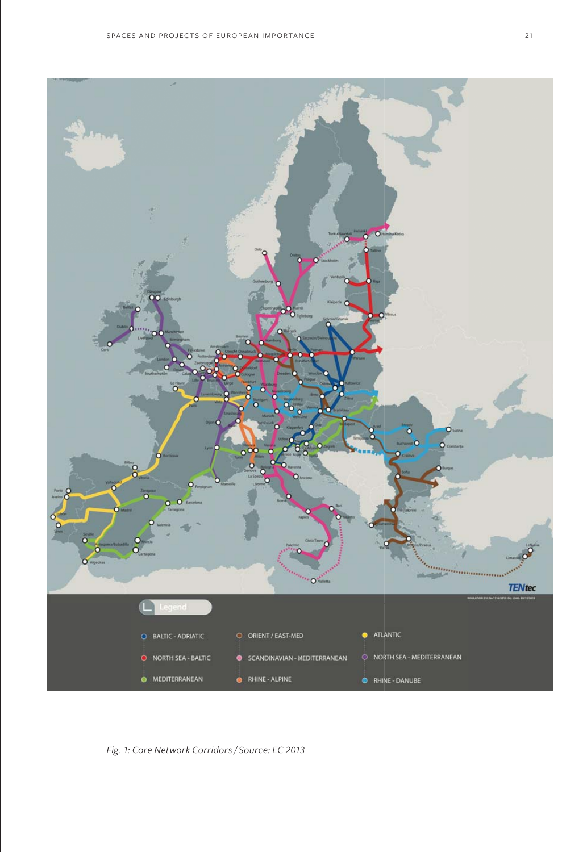

*Fig. 1: Core Network Corridors / Source: EC 2013*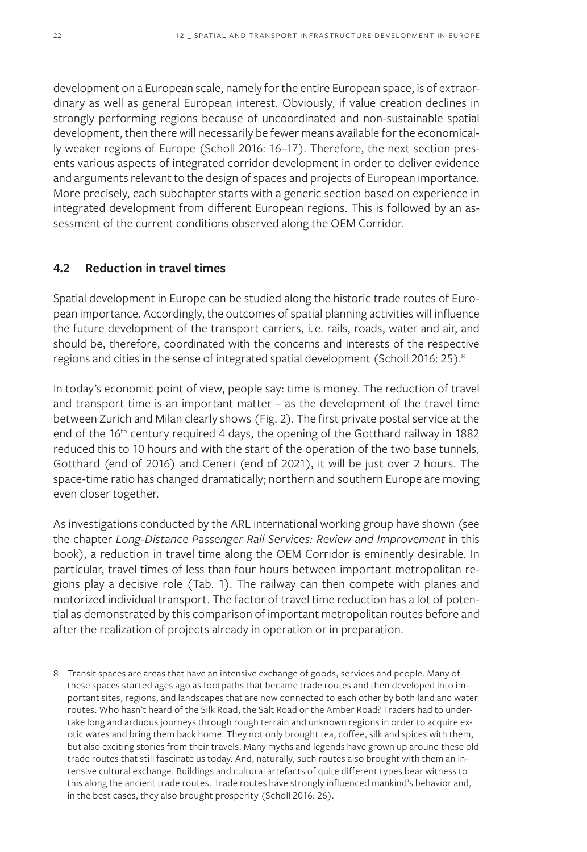development on a European scale, namely for the entire European space, is of extraordinary as well as general European interest. Obviously, if value creation declines in strongly performing regions because of uncoordinated and non-sustainable spatial development, then there will necessarily be fewer means available for the economically weaker regions of Europe (Scholl 2016: 16–17). Therefore, the next section presents various aspects of integrated corridor development in order to deliver evidence and arguments relevant to the design of spaces and projects of European importance. More precisely, each subchapter starts with a generic section based on experience in integrated development from different European regions. This is followed by an assessment of the current conditions observed along the OEM Corridor.

### **4.2 Reduction in travel times**

Spatial development in Europe can be studied along the historic trade routes of European importance. Accordingly, the outcomes of spatial planning activities will influence the future development of the transport carriers, i.e. rails, roads, water and air, and should be, therefore, coordinated with the concerns and interests of the respective regions and cities in the sense of integrated spatial development (Scholl 2016: 25).<sup>8</sup>

In today's economic point of view, people say: time is money. The reduction of travel and transport time is an important matter – as the development of the travel time between Zurich and Milan clearly shows (Fig. 2). The first private postal service at the end of the 16<sup>th</sup> century required 4 days, the opening of the Gotthard railway in 1882 reduced this to 10 hours and with the start of the operation of the two base tunnels, Gotthard (end of 2016) and Ceneri (end of 2021), it will be just over 2 hours. The space-time ratio has changed dramatically; northern and southern Europe are moving even closer together.

As investigations conducted by the ARL international working group have shown (see the chapter *Long-Distance Passenger Rail Services: Review and Improvement* in this book), a reduction in travel time along the OEM Corridor is eminently desirable. In particular, travel times of less than four hours between important metropolitan regions play a decisive role (Tab. 1). The railway can then compete with planes and motorized individual transport. The factor of travel time reduction has a lot of potential as demonstrated by this comparison of important metropolitan routes before and after the realization of projects already in operation or in preparation.

<sup>8</sup> Transit spaces are areas that have an intensive exchange of goods, services and people. Many of these spaces started ages ago as footpaths that became trade routes and then developed into important sites, regions, and landscapes that are now connected to each other by both land and water routes. Who hasn't heard of the Silk Road, the Salt Road or the Amber Road? Traders had to undertake long and arduous journeys through rough terrain and unknown regions in order to acquire exotic wares and bring them back home. They not only brought tea, coffee, silk and spices with them, but also exciting stories from their travels. Many myths and legends have grown up around these old trade routes that still fascinate us today. And, naturally, such routes also brought with them an intensive cultural exchange. Buildings and cultural artefacts of quite different types bear witness to this along the ancient trade routes. Trade routes have strongly influenced mankind's behavior and, in the best cases, they also brought prosperity (Scholl 2016: 26).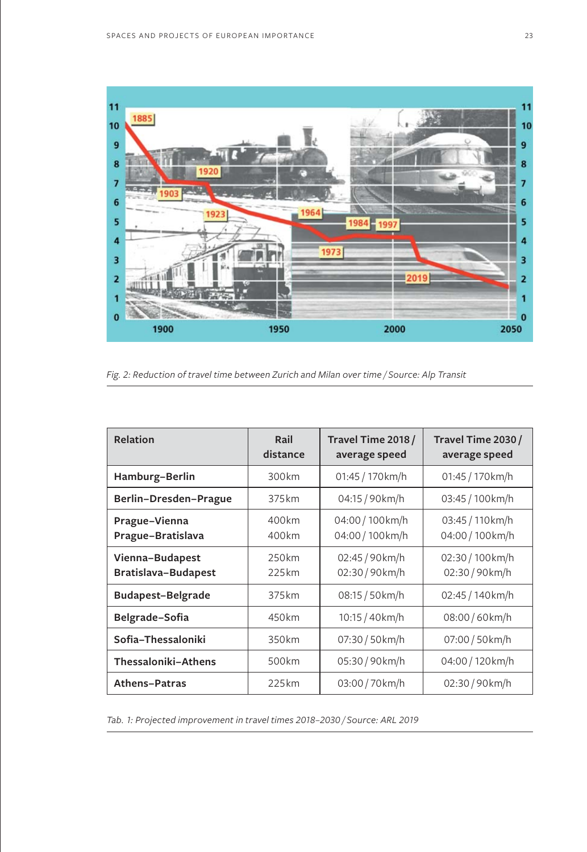

*Fig. 2: Reduction of travel time between Zurich and Milan over time / Source: Alp Transit*

| Relation                               | Rail<br>distance | Travel Time 2018 /<br>average speed | Travel Time 2030 /<br>average speed  |
|----------------------------------------|------------------|-------------------------------------|--------------------------------------|
| Hamburg-Berlin                         | 300km            | 01:45 / 170km/h                     | 01:45 / 170km/h                      |
| Berlin-Dresden-Prague                  | 375 km           | 04:15 / 90 km/h                     | 03:45 / 100 km/h                     |
| Prague-Vienna<br>Prague-Bratislava     | 400km<br>400km   | 04:00 / 100 km/h<br>04:00 / 100km/h | 03:45 / 110 km/h<br>04:00 / 100 km/h |
| Vienna-Budapest<br>Bratislava-Budapest | 250km<br>225km   | 02:45 / 90km/h<br>02:30 / 90 km/h   | 02:30 / 100km/h<br>02:30/90km/h      |
| <b>Budapest-Belgrade</b>               | 375 km           | 08:15 / 50 km/h                     | 02:45 / 140km/h                      |
| Belgrade-Sofia                         | 450km            | 10:15 / 40 km/h                     | 08:00/60km/h                         |
| Sofia-Thessaloniki                     | 350km            | 07:30 / 50 km/h                     | 07:00 / 50 km/h                      |
| Thessaloniki-Athens                    | 500km            | 05:30/90km/h                        | 04:00 / 120 km/h                     |
| Athens-Patras                          | 225km            | 03:00 / 70 km/h                     | 02:30/90km/h                         |

*Tab. 1: Projected improvement in travel times 2018–2030 / Source: ARL 2019*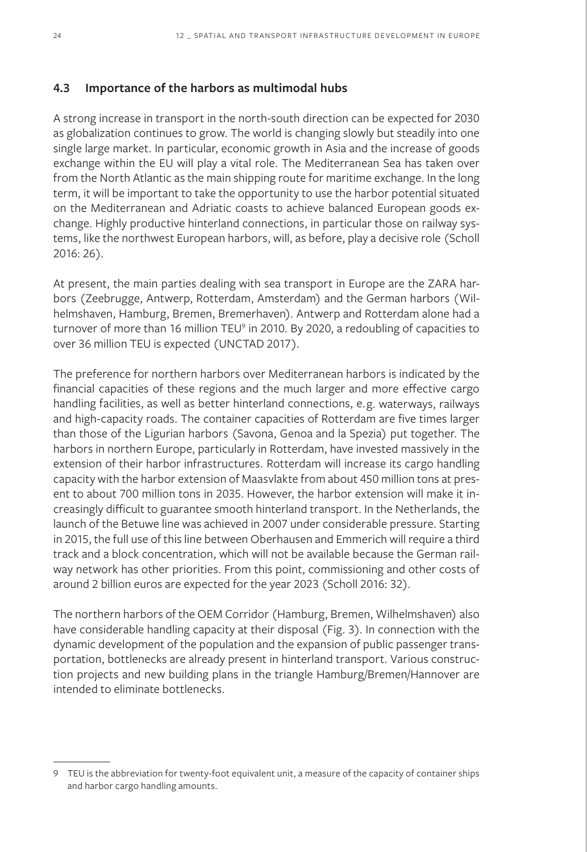#### **4.3 Importance of the harbors as multimodal hubs**

A strong increase in transport in the north-south direction can be expected for 2030 as globalization continues to grow. The world is changing slowly but steadily into one single large market. In particular, economic growth in Asia and the increase of goods exchange within the EU will play a vital role. The Mediterranean Sea has taken over from the North Atlantic as the main shipping route for maritime exchange. In the long term, it will be important to take the opportunity to use the harbor potential situated on the Mediterranean and Adriatic coasts to achieve balanced European goods exchange. Highly productive hinterland connections, in particular those on railway systems, like the northwest European harbors, will, as before, play a decisive role (Scholl 2016: 26).

At present, the main parties dealing with sea transport in Europe are the ZARA harbors (Zeebrugge, Antwerp, Rotterdam, Amsterdam) and the German harbors (Wilhelmshaven, Hamburg, Bremen, Bremerhaven). Antwerp and Rotterdam alone had a turnover of more than 16 million TEU<sup>9</sup> in 2010. By 2020, a redoubling of capacities to over 36 million TEU is expected (UNCTAD 2017).

The preference for northern harbors over Mediterranean harbors is indicated by the financial capacities of these regions and the much larger and more effective cargo handling facilities, as well as better hinterland connections, e.g. waterways, railways and high-capacity roads. The container capacities of Rotterdam are five times larger than those of the Ligurian harbors (Savona, Genoa and la Spezia) put together. The harbors in northern Europe, particularly in Rotterdam, have invested massively in the extension of their harbor infrastructures. Rotterdam will increase its cargo handling capacity with the harbor extension of Maasvlakte from about 450 million tons at present to about 700 million tons in 2035. However, the harbor extension will make it increasingly difficult to guarantee smooth hinterland transport. In the Netherlands, the launch of the Betuwe line was achieved in 2007 under considerable pressure. Starting in 2015, the full use of this line between Oberhausen and Emmerich will require a third track and a block concentration, which will not be available because the German railway network has other priorities. From this point, commissioning and other costs of around 2 billion euros are expected for the year 2023 (Scholl 2016: 32).

The northern harbors of the OEM Corridor (Hamburg, Bremen, Wilhelmshaven) also have considerable handling capacity at their disposal (Fig. 3). In connection with the dynamic development of the population and the expansion of public passenger transportation, bottlenecks are already present in hinterland transport. Various construction projects and new building plans in the triangle Hamburg/Bremen/Hannover are intended to eliminate bottlenecks.

<sup>9</sup> TEU is the abbreviation for twenty-foot equivalent unit, a measure of the capacity of container ships and harbor cargo handling amounts.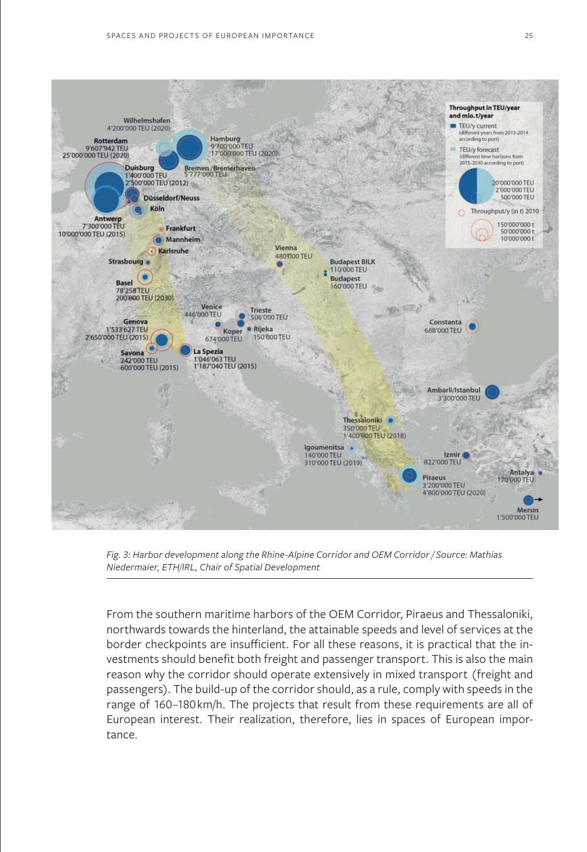

*Fig. 3: Harbor development along the Rhine-Alpine Corridor and OEM Corridor / Source: Mathias Niedermaier, ETH/IRL, Chair of Spatial Development*

From the southern maritime harbors of the OEM Corridor, Piraeus and Thessaloniki, northwards towards the hinterland, the attainable speeds and level of services at the border checkpoints are insufficient. For all these reasons, it is practical that the investments should benefit both freight and passenger transport. This is also the main reason why the corridor should operate extensively in mixed transport (freight and passengers). The build-up of the corridor should, as a rule, comply with speeds in the range of 160–180km/h. The projects that result from these requirements are all of European interest. Their realization, therefore, lies in spaces of European importance.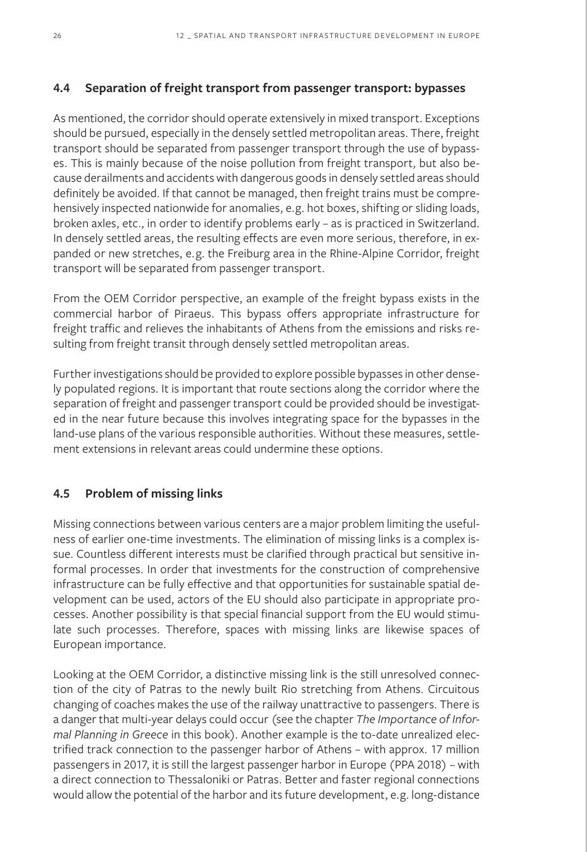### **4.4 Separation of freight transport from passenger transport: bypasses**

As mentioned, the corridor should operate extensively in mixed transport. Exceptions should be pursued, especially in the densely settled metropolitan areas. There, freight transport should be separated from passenger transport through the use of bypasses. This is mainly because of the noise pollution from freight transport, but also because derailments and accidents with dangerous goods in densely settled areas should definitely be avoided. If that cannot be managed, then freight trains must be comprehensively inspected nationwide for anomalies, e.g. hot boxes, shifting or sliding loads, broken axles, etc., in order to identify problems early – as is practiced in Switzerland. In densely settled areas, the resulting effects are even more serious, therefore, in expanded or new stretches, e.g. the Freiburg area in the Rhine-Alpine Corridor, freight transport will be separated from passenger transport.

From the OEM Corridor perspective, an example of the freight bypass exists in the commercial harbor of Piraeus. This bypass offers appropriate infrastructure for freight traffic and relieves the inhabitants of Athens from the emissions and risks resulting from freight transit through densely settled metropolitan areas.

Further investigations should be provided to explore possible bypasses in other densely populated regions. It is important that route sections along the corridor where the separation of freight and passenger transport could be provided should be investigated in the near future because this involves integrating space for the bypasses in the land-use plans of the various responsible authorities. Without these measures, settlement extensions in relevant areas could undermine these options.

### **4.5 Problem of missing links**

Missing connections between various centers are a major problem limiting the usefulness of earlier one-time investments. The elimination of missing links is a complex issue. Countless different interests must be clarified through practical but sensitive informal processes. In order that investments for the construction of comprehensive infrastructure can be fully effective and that opportunities for sustainable spatial development can be used, actors of the EU should also participate in appropriate processes. Another possibility is that special financial support from the EU would stimulate such processes. Therefore, spaces with missing links are likewise spaces of European importance.

Looking at the OEM Corridor, a distinctive missing link is the still unresolved connection of the city of Patras to the newly built Rio stretching from Athens. Circuitous changing of coaches makes the use of the railway unattractive to passengers. There is a danger that multi-year delays could occur (see the chapter *The Importance of Informal Planning in Greece* in this book). Another example is the to-date unrealized electrified track connection to the passenger harbor of Athens – with approx. 17 million passengers in 2017, it is still the largest passenger harbor in Europe (PPA 2018) – with a direct connection to Thessaloniki or Patras. Better and faster regional connections would allow the potential of the harbor and its future development, e.g. long-distance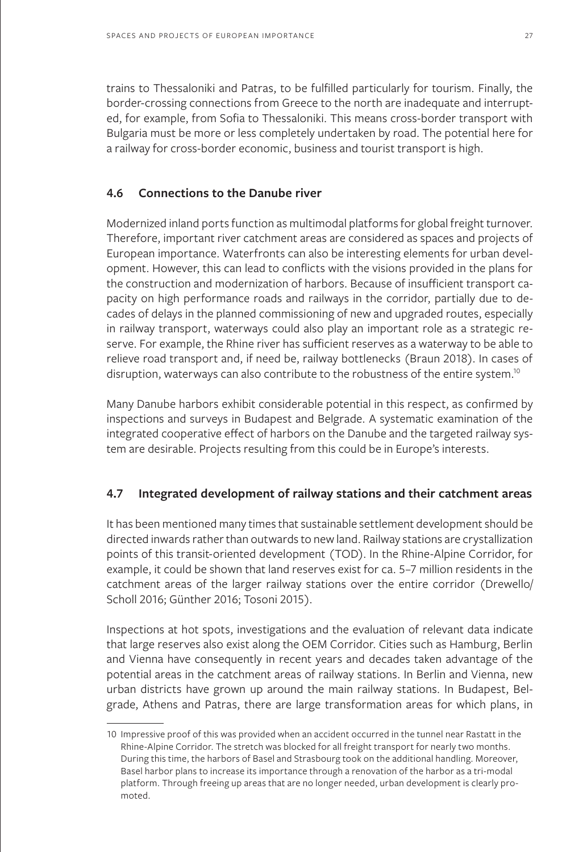trains to Thessaloniki and Patras, to be fulfilled particularly for tourism. Finally, the border-crossing connections from Greece to the north are inadequate and interrupted, for example, from Sofia to Thessaloniki. This means cross-border transport with Bulgaria must be more or less completely undertaken by road. The potential here for a railway for cross-border economic, business and tourist transport is high.

### **4.6 Connections to the Danube river**

Modernized inland ports function as multimodal platforms for global freight turnover. Therefore, important river catchment areas are considered as spaces and projects of European importance. Waterfronts can also be interesting elements for urban development. However, this can lead to conflicts with the visions provided in the plans for the construction and modernization of harbors. Because of insufficient transport capacity on high performance roads and railways in the corridor, partially due to decades of delays in the planned commissioning of new and upgraded routes, especially in railway transport, waterways could also play an important role as a strategic reserve. For example, the Rhine river has sufficient reserves as a waterway to be able to relieve road transport and, if need be, railway bottlenecks (Braun 2018). In cases of disruption, waterways can also contribute to the robustness of the entire system.<sup>10</sup>

Many Danube harbors exhibit considerable potential in this respect, as confirmed by inspections and surveys in Budapest and Belgrade. A systematic examination of the integrated cooperative effect of harbors on the Danube and the targeted railway system are desirable. Projects resulting from this could be in Europe's interests.

## **4.7 Integrated development of railway stations and their catchment areas**

It has been mentioned many times that sustainable settlement development should be directed inwards rather than outwards to new land. Railway stations are crystallization points of this transit-oriented development (TOD). In the Rhine-Alpine Corridor, for example, it could be shown that land reserves exist for ca. 5–7 million residents in the catchment areas of the larger railway stations over the entire corridor (Drewello/ Scholl 2016; Günther 2016; Tosoni 2015).

Inspections at hot spots, investigations and the evaluation of relevant data indicate that large reserves also exist along the OEM Corridor. Cities such as Hamburg, Berlin and Vienna have consequently in recent years and decades taken advantage of the potential areas in the catchment areas of railway stations. In Berlin and Vienna, new urban districts have grown up around the main railway stations. In Budapest, Belgrade, Athens and Patras, there are large transformation areas for which plans, in

<sup>10</sup> Impressive proof of this was provided when an accident occurred in the tunnel near Rastatt in the Rhine-Alpine Corridor. The stretch was blocked for all freight transport for nearly two months. During this time, the harbors of Basel and Strasbourg took on the additional handling. Moreover, Basel harbor plans to increase its importance through a renovation of the harbor as a tri-modal platform. Through freeing up areas that are no longer needed, urban development is clearly promoted.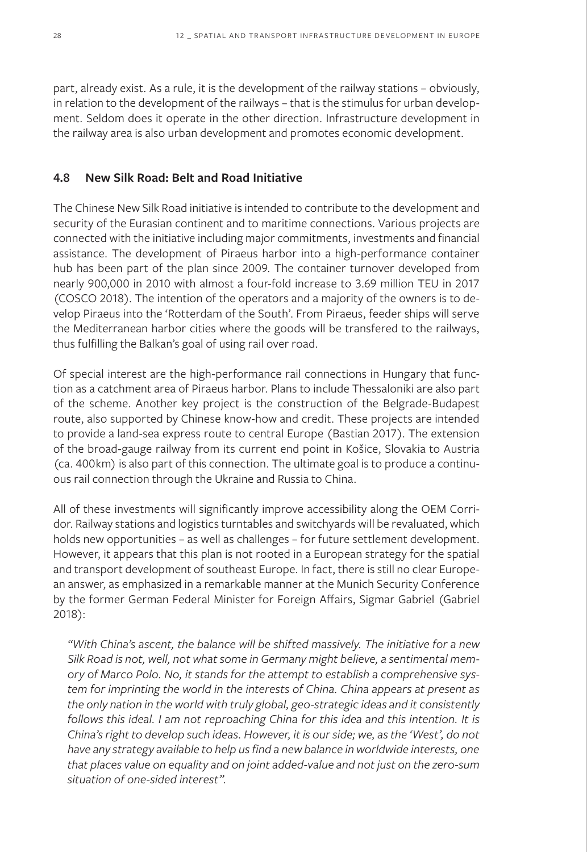part, already exist. As a rule, it is the development of the railway stations – obviously, in relation to the development of the railways – that is the stimulus for urban development. Seldom does it operate in the other direction. Infrastructure development in the railway area is also urban development and promotes economic development.

### **4.8 New Silk Road: Belt and Road Initiative**

The Chinese New Silk Road initiative is intended to contribute to the development and security of the Eurasian continent and to maritime connections. Various projects are connected with the initiative including major commitments, investments and financial assistance. The development of Piraeus harbor into a high-performance container hub has been part of the plan since 2009. The container turnover developed from nearly 900,000 in 2010 with almost a four-fold increase to 3.69 million TEU in 2017 (COSCO 2018). The intention of the operators and a majority of the owners is to develop Piraeus into the 'Rotterdam of the South'. From Piraeus, feeder ships will serve the Mediterranean harbor cities where the goods will be transfered to the railways, thus fulfilling the Balkan's goal of using rail over road.

Of special interest are the high-performance rail connections in Hungary that function as a catchment area of Piraeus harbor. Plans to include Thessaloniki are also part of the scheme. Another key project is the construction of the Belgrade-Budapest route, also supported by Chinese know-how and credit. These projects are intended to provide a land-sea express route to central Europe (Bastian 2017). The extension of the broad-gauge railway from its current end point in Košice, Slovakia to Austria (ca. 400km) is also part of this connection. The ultimate goal is to produce a continuous rail connection through the Ukraine and Russia to China.

All of these investments will significantly improve accessibility along the OEM Corridor. Railway stations and logistics turntables and switchyards will be revaluated, which holds new opportunities – as well as challenges – for future settlement development. However, it appears that this plan is not rooted in a European strategy for the spatial and transport development of southeast Europe. In fact, there is still no clear European answer, as emphasized in a remarkable manner at the Munich Security Conference by the former German Federal Minister for Foreign Affairs, Sigmar Gabriel (Gabriel 2018):

*"With China's ascent, the balance will be shifted massively. The initiative for a new Silk Road is not, well, not what some in Germany might believe, a sentimental memory of Marco Polo. No, it stands for the attempt to establish a comprehensive system for imprinting the world in the interests of China. China appears at present as the only nation in the world with truly global, geo-strategic ideas and it consistently*  follows this ideal. I am not reproaching China for this idea and this intention. It is *China's right to develop such ideas. However, it is our side; we, as the 'West', do not have any strategy available to help us find a new balance in worldwide interests, one that places value on equality and on joint added-value and not just on the zero-sum situation of one-sided interest".*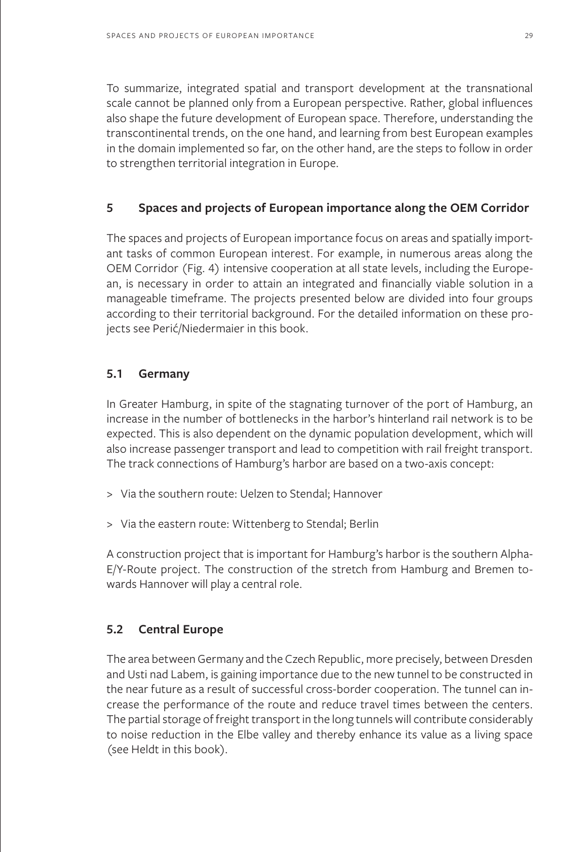To summarize, integrated spatial and transport development at the transnational scale cannot be planned only from a European perspective. Rather, global influences also shape the future development of European space. Therefore, understanding the transcontinental trends, on the one hand, and learning from best European examples in the domain implemented so far, on the other hand, are the steps to follow in order to strengthen territorial integration in Europe.

### **5 Spaces and projects of European importance along the OEM Corridor**

The spaces and projects of European importance focus on areas and spatially important tasks of common European interest. For example, in numerous areas along the OEM Corridor (Fig. 4) intensive cooperation at all state levels, including the European, is necessary in order to attain an integrated and financially viable solution in a manageable timeframe. The projects presented below are divided into four groups according to their territorial background. For the detailed information on these projects see Perić/Niedermaier in this book.

### **5.1 Germany**

In Greater Hamburg, in spite of the stagnating turnover of the port of Hamburg, an increase in the number of bottlenecks in the harbor's hinterland rail network is to be expected. This is also dependent on the dynamic population development, which will also increase passenger transport and lead to competition with rail freight transport. The track connections of Hamburg's harbor are based on a two-axis concept:

- > Via the southern route: Uelzen to Stendal; Hannover
- > Via the eastern route: Wittenberg to Stendal; Berlin

A construction project that is important for Hamburg's harbor is the southern Alpha-E/Y-Route project. The construction of the stretch from Hamburg and Bremen towards Hannover will play a central role.

## **5.2 Central Europe**

The area between Germany and the Czech Republic, more precisely, between Dresden and Usti nad Labem, is gaining importance due to the new tunnel to be constructed in the near future as a result of successful cross-border cooperation. The tunnel can increase the performance of the route and reduce travel times between the centers. The partial storage of freight transport in the long tunnels will contribute considerably to noise reduction in the Elbe valley and thereby enhance its value as a living space (see Heldt in this book).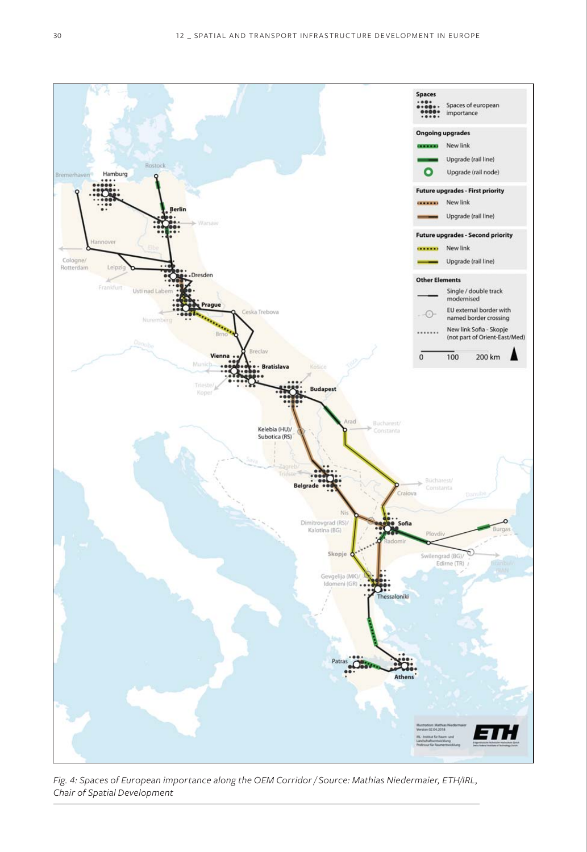

*Fig. 4: Spaces of European importance along the OEM Corridor / Source: Mathias Niedermaier, ETH/IRL, Chair of Spatial Development*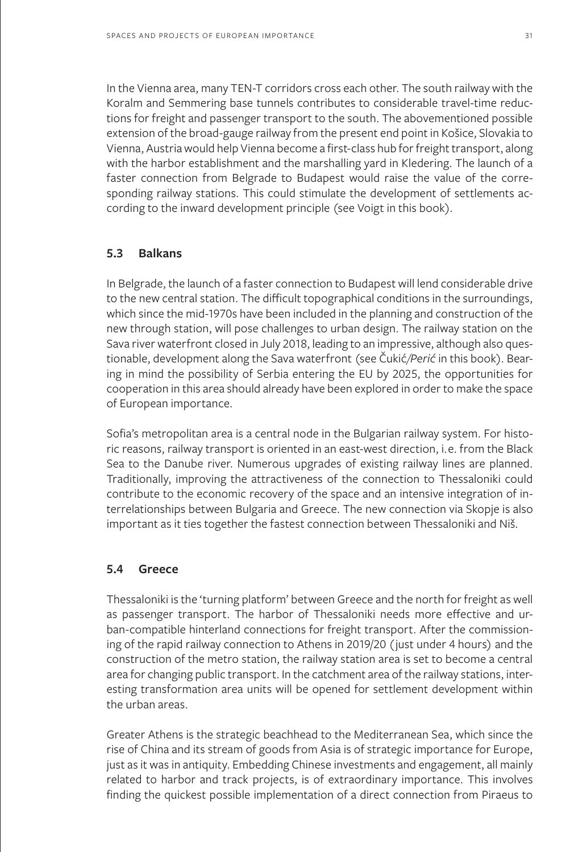In the Vienna area, many TEN-T corridors cross each other. The south railway with the Koralm and Semmering base tunnels contributes to considerable travel-time reductions for freight and passenger transport to the south. The abovementioned possible extension of the broad-gauge railway from the present end point in Košice, Slovakia to Vienna, Austria would help Vienna become a first-class hub for freight transport, along with the harbor establishment and the marshalling yard in Kledering. The launch of a faster connection from Belgrade to Budapest would raise the value of the corresponding railway stations. This could stimulate the development of settlements according to the inward development principle (see Voigt in this book).

#### **5.3 Balkans**

In Belgrade, the launch of a faster connection to Budapest will lend considerable drive to the new central station. The difficult topographical conditions in the surroundings, which since the mid-1970s have been included in the planning and construction of the new through station, will pose challenges to urban design. The railway station on the Sava river waterfront closed in July 2018, leading to an impressive, although also questionable, development along the Sava waterfront (see Čukić*/Perić* in this book). Bearing in mind the possibility of Serbia entering the EU by 2025, the opportunities for cooperation in this area should already have been explored in order to make the space of European importance.

Sofia's metropolitan area is a central node in the Bulgarian railway system. For historic reasons, railway transport is oriented in an east-west direction, i.e. from the Black Sea to the Danube river. Numerous upgrades of existing railway lines are planned. Traditionally, improving the attractiveness of the connection to Thessaloniki could contribute to the economic recovery of the space and an intensive integration of interrelationships between Bulgaria and Greece. The new connection via Skopje is also important as it ties together the fastest connection between Thessaloniki and Niš.

### **5.4 Greece**

Thessaloniki is the 'turning platform' between Greece and the north for freight as well as passenger transport. The harbor of Thessaloniki needs more effective and urban-compatible hinterland connections for freight transport. After the commissioning of the rapid railway connection to Athens in 2019/20 (just under 4 hours) and the construction of the metro station, the railway station area is set to become a central area for changing public transport. In the catchment area of the railway stations, interesting transformation area units will be opened for settlement development within the urban areas.

Greater Athens is the strategic beachhead to the Mediterranean Sea, which since the rise of China and its stream of goods from Asia is of strategic importance for Europe, just as it was in antiquity. Embedding Chinese investments and engagement, all mainly related to harbor and track projects, is of extraordinary importance. This involves finding the quickest possible implementation of a direct connection from Piraeus to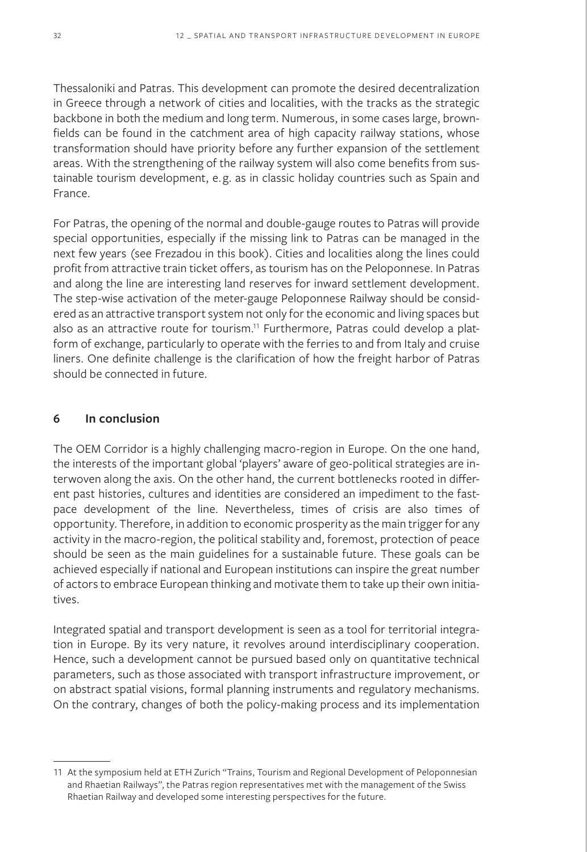Thessaloniki and Patras. This development can promote the desired decentralization in Greece through a network of cities and localities, with the tracks as the strategic backbone in both the medium and long term. Numerous, in some cases large, brownfields can be found in the catchment area of high capacity railway stations, whose transformation should have priority before any further expansion of the settlement areas. With the strengthening of the railway system will also come benefits from sustainable tourism development, e.g. as in classic holiday countries such as Spain and France.

For Patras, the opening of the normal and double-gauge routes to Patras will provide special opportunities, especially if the missing link to Patras can be managed in the next few years (see Frezadou in this book). Cities and localities along the lines could profit from attractive train ticket offers, as tourism has on the Peloponnese. In Patras and along the line are interesting land reserves for inward settlement development. The step-wise activation of the meter-gauge Peloponnese Railway should be considered as an attractive transport system not only for the economic and living spaces but also as an attractive route for tourism.<sup>11</sup> Furthermore, Patras could develop a platform of exchange, particularly to operate with the ferries to and from Italy and cruise liners. One definite challenge is the clarification of how the freight harbor of Patras should be connected in future.

### **6 In conclusion**

The OEM Corridor is a highly challenging macro-region in Europe. On the one hand, the interests of the important global 'players' aware of geo-political strategies are interwoven along the axis. On the other hand, the current bottlenecks rooted in different past histories, cultures and identities are considered an impediment to the fastpace development of the line. Nevertheless, times of crisis are also times of opportunity. Therefore, in addition to economic prosperity as the main trigger for any activity in the macro-region, the political stability and, foremost, protection of peace should be seen as the main guidelines for a sustainable future. These goals can be achieved especially if national and European institutions can inspire the great number of actors to embrace European thinking and motivate them to take up their own initiatives.

Integrated spatial and transport development is seen as a tool for territorial integration in Europe. By its very nature, it revolves around interdisciplinary cooperation. Hence, such a development cannot be pursued based only on quantitative technical parameters, such as those associated with transport infrastructure improvement, or on abstract spatial visions, formal planning instruments and regulatory mechanisms. On the contrary, changes of both the policy-making process and its implementation

<sup>11</sup> At the symposium held at ETH Zurich "Trains, Tourism and Regional Development of Peloponnesian and Rhaetian Railways", the Patras region representatives met with the management of the Swiss Rhaetian Railway and developed some interesting perspectives for the future.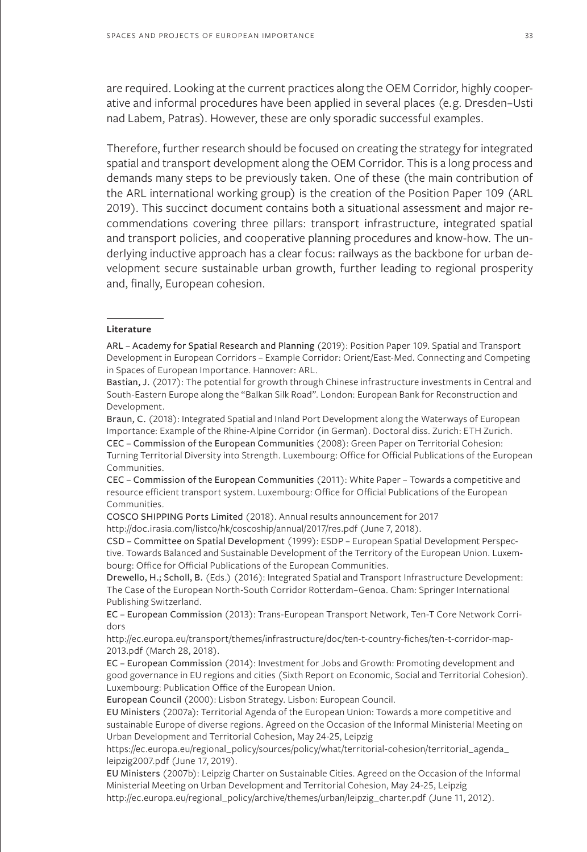are required. Looking at the current practices along the OEM Corridor, highly cooperative and informal procedures have been applied in several places (e.g. Dresden–Usti nad Labem, Patras). However, these are only sporadic successful examples.

Therefore, further research should be focused on creating the strategy for integrated spatial and transport development along the OEM Corridor. This is a long process and demands many steps to be previously taken. One of these (the main contribution of the ARL international working group) is the creation of the Position Paper 109 (ARL 2019). This succinct document contains both a situational assessment and major recommendations covering three pillars: transport infrastructure, integrated spatial and transport policies, and cooperative planning procedures and know-how. The underlying inductive approach has a clear focus: railways as the backbone for urban development secure sustainable urban growth, further leading to regional prosperity and, finally, European cohesion.

#### **Literature**

ARL – Academy for Spatial Research and Planning (2019): Position Paper 109. Spatial and Transport Development in European Corridors – Example Corridor: Orient/East-Med. Connecting and Competing in Spaces of European Importance. Hannover: ARL.

Bastian, J. (2017): The potential for growth through Chinese infrastructure investments in Central and South-Eastern Europe along the "Balkan Silk Road". London: European Bank for Reconstruction and Development.

Braun, C. (2018): Integrated Spatial and Inland Port Development along the Waterways of European Importance: Example of the Rhine-Alpine Corridor (in German). Doctoral diss. Zurich: ETH Zurich. CEC – Commission of the European Communities (2008): Green Paper on Territorial Cohesion: Turning Territorial Diversity into Strength. Luxembourg: Office for Official Publications of the European Communities.

CEC – Commission of the European Communities (2011): White Paper – Towards a competitive and resource efficient transport system. Luxembourg: Office for Official Publications of the European Communities.

COSCO SHIPPING Ports Limited (2018). Annual results announcement for 2017

http://doc.irasia.com/listco/hk/coscoship/annual/2017/res.pdf (June 7, 2018).

CSD – Committee on Spatial Development (1999): ESDP – European Spatial Development Perspective. Towards Balanced and Sustainable Development of the Territory of the European Union. Luxembourg: Office for Official Publications of the European Communities.

Drewello, H.; Scholl, B. (Eds.) (2016): Integrated Spatial and Transport Infrastructure Development: The Case of the European North-South Corridor Rotterdam–Genoa. Cham: Springer International Publishing Switzerland.

EC – European Commission (2013): Trans-European Transport Network, Ten-T Core Network Corridors

http://ec.europa.eu/transport/themes/infrastructure/doc/ten-t-country-fiches/ten-t-corridor-map-2013.pdf (March 28, 2018).

EC – European Commission (2014): Investment for Jobs and Growth: Promoting development and good governance in EU regions and cities (Sixth Report on Economic, Social and Territorial Cohesion). Luxembourg: Publication Office of the European Union.

European Council (2000): Lisbon Strategy. Lisbon: European Council.

EU Ministers (2007a): Territorial Agenda of the European Union: Towards a more competitive and sustainable Europe of diverse regions. Agreed on the Occasion of the Informal Ministerial Meeting on Urban Development and Territorial Cohesion, May 24-25, Leipzig

https://ec.europa.eu/regional\_policy/sources/policy/what/territorial-cohesion/territorial\_agenda\_ leipzig2007.pdf (June 17, 2019).

EU Ministers (2007b): Leipzig Charter on Sustainable Cities. Agreed on the Occasion of the Informal Ministerial Meeting on Urban Development and Territorial Cohesion, May 24-25, Leipzig http://ec.europa.eu/regional\_policy/archive/themes/urban/leipzig\_charter.pdf (June 11, 2012).